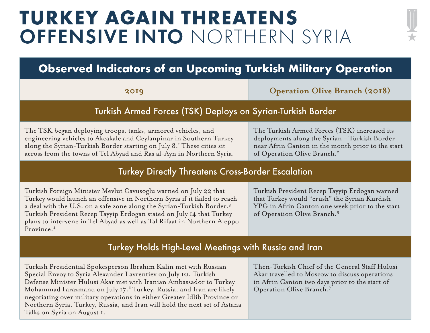# **TURKEY AGAIN THREATENS** OFFENSIVE INTO NORTHERN SYRIA



## **Observed Indicators of an Upcoming Turkish Military Operation**

**2019 Operation Olive Branch (2018)**

#### Turkish Armed Forces (TSK) Deploys on Syrian-Turkish Border

The TSK began deploying troops, tanks, armored vehicles, and engineering vehicles to Akcakale and Ceylanpinar in Southern Turkey along the Syrian-Turkish Border starting on July 8.<sup>1</sup> These cities sit across from the towns of Tel Abyad and Ras al-Ayn in Northern Syria. The Turkish Armed Forces (TSK) increased its deployments along the Syrian – Turkish Border near Afrin Canton in the month prior to the start of Operation Olive Branch.<sup>2</sup>

#### Turkey Directly Threatens Cross-Border Escalation

Turkish Foreign Minister Mevlut Cavusoglu warned on July 22 that Turkey would launch an offensive in Northern Syria if it failed to reach a deal with the U.S. on a safe zone along the Syrian-Turkish Border.3 Turkish President Recep Tayyip Erdogan stated on July 14 that Turkey plans to intervene in Tel Abyad as well as Tal Rifaat in Northern Aleppo Province.<sup>4</sup>

Turkish President Recep Tayyip Erdogan warned that Turkey would "crush" the Syrian Kurdish YPG in Afrin Canton one week prior to the start of Operation Olive Branch.5

#### Turkey Holds High-Level Meetings with Russia and Iran

Turkish Presidential Spokesperson Ibrahim Kalin met with Russian Special Envoy to Syria Alexander Lavrentiev on July 10. Turkish Defense Minister Hulusi Akar met with Iranian Ambassador to Turkey Mohammad Farazmand on July 17.6 Turkey, Russia, and Iran are likely negotiating over military operations in either Greater Idlib Province or Northern Syria. Turkey, Russia, and Iran will hold the next set of Astana Talks on Syria on August 1.

Then-Turkish Chief of the General Staff Hulusi Akar travelled to Moscow to discuss operations in Afrin Canton two days prior to the start of Operation Olive Branch.7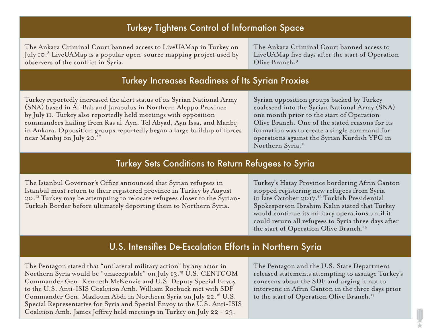| <b>Turkey Tightens Control of Information Space</b>                                                                                                                                                                                                                                                                                                                                                                                                      |                                                                                                                                                                                                                                                                                                                                                                            |  |
|----------------------------------------------------------------------------------------------------------------------------------------------------------------------------------------------------------------------------------------------------------------------------------------------------------------------------------------------------------------------------------------------------------------------------------------------------------|----------------------------------------------------------------------------------------------------------------------------------------------------------------------------------------------------------------------------------------------------------------------------------------------------------------------------------------------------------------------------|--|
| The Ankara Criminal Court banned access to LiveUAMap in Turkey on<br>July 10. <sup>8</sup> LiveUAMap is a popular open-source mapping project used by<br>observers of the conflict in Syria.                                                                                                                                                                                                                                                             | The Ankara Criminal Court banned access to<br>LiveUAMap five days after the start of Operation<br>Olive Branch. <sup>9</sup>                                                                                                                                                                                                                                               |  |
| <b>Turkey Increases Readiness of Its Syrian Proxies</b>                                                                                                                                                                                                                                                                                                                                                                                                  |                                                                                                                                                                                                                                                                                                                                                                            |  |
| Turkey reportedly increased the alert status of its Syrian National Army<br>(SNA) based in Al-Bab and Jarabulus in Northern Aleppo Province<br>by July II. Turkey also reportedly held meetings with opposition<br>commanders hailing from Ras al-Ayn, Tel Abyad, Ayn Issa, and Manbij<br>in Ankara. Opposition groups reportedly began a large buildup of forces<br>near Manbij on July 20. <sup>10</sup>                                               | Syrian opposition groups backed by Turkey<br>coalesced into the Syrian National Army (SNA)<br>one month prior to the start of Operation<br>Olive Branch. One of the stated reasons for its<br>formation was to create a single command for<br>operations against the Syrian Kurdish YPG in<br>Northern Syria. <sup>11</sup>                                                |  |
| <b>Turkey Sets Conditions to Return Refugees to Syria</b>                                                                                                                                                                                                                                                                                                                                                                                                |                                                                                                                                                                                                                                                                                                                                                                            |  |
| The Istanbul Governor's Office announced that Syrian refugees in<br>Istanbul must return to their registered province in Turkey by August<br>20. <sup>12</sup> Turkey may be attempting to relocate refugees closer to the Syrian-<br>Turkish Border before ultimately deporting them to Northern Syria.                                                                                                                                                 | Turkey's Hatay Province bordering Afrin Canton<br>stopped registering new refugees from Syria<br>in late October 2017. <sup>13</sup> Turkish Presidential<br>Spokesperson Ibrahim Kalin stated that Turkey<br>would continue its military operations until it<br>could return all refugees to Syria three days after<br>the start of Operation Olive Branch. <sup>14</sup> |  |
| U.S. Intensifies De-Escalation Efforts in Northern Syria                                                                                                                                                                                                                                                                                                                                                                                                 |                                                                                                                                                                                                                                                                                                                                                                            |  |
| The Pentagon stated that "unilateral military action" by any actor in<br>Northern Syria would be "unacceptable" on July 13. <sup>15</sup> U.S. CENTCOM<br>Commander Gen. Kenneth McKenzie and U.S. Deputy Special Envoy<br>to the U.S. Anti-ISIS Coalition Amb. William Roebuck met with SDF<br>Commander Gen. Mazloum Abdi in Northern Syria on July 22. <sup>16</sup> U.S.<br>Special Representative for Syria and Special Envoy to the U.S. Anti-ISIS | The Pentagon and the U.S. State Department<br>released statements attempting to assuage Turkey's<br>concerns about the SDF and urging it not to<br>intervene in Afrin Canton in the three days prior<br>to the start of Operation Olive Branch. <sup>17</sup>                                                                                                              |  |

Coalition Amb. James Jeffrey held meetings in Turkey on July 22 - 23.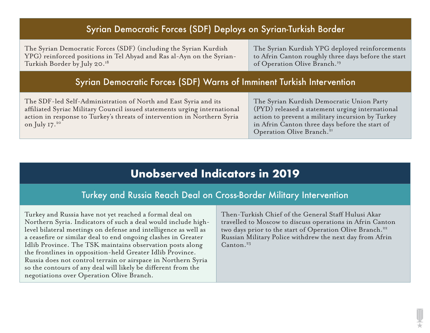#### Syrian Democratic Forces (SDF) Deploys on Syrian-Turkish Border

The Syrian Democratic Forces (SDF) (including the Syrian Kurdish YPG) reinforced positions in Tel Abyad and Ras al-Ayn on the Syrian-Turkish Border by July 20.18

The Syrian Kurdish YPG deployed reinforcements to Afrin Canton roughly three days before the start of Operation Olive Branch.<sup>19</sup>

#### Syrian Democratic Forces (SDF) Warns of Imminent Turkish Intervention

The SDF-led Self-Administration of North and East Syria and its affiliated Syriac Military Council issued statements urging international action in response to Turkey's threats of intervention in Northern Syria on July  $17.^{20}$ 

The Syrian Kurdish Democratic Union Party (PYD) released a statement urging international action to prevent a military incursion by Turkey in Afrin Canton three days before the start of Operation Olive Branch.<sup>21</sup>

### **Unobserved Indicators in 2019**

#### Turkey and Russia Reach Deal on Cross-Border Military Intervention

Turkey and Russia have not yet reached a formal deal on Northern Syria. Indicators of such a deal would include highlevel bilateral meetings on defense and intelligence as well as a ceasefire or similar deal to end ongoing clashes in Greater Idlib Province. The TSK maintains observation posts along the frontlines in opposition-held Greater Idlib Province. Russia does not control terrain or airspace in Northern Syria so the contours of any deal will likely be different from the negotiations over Operation Olive Branch.

Then-Turkish Chief of the General Staff Hulusi Akar travelled to Moscow to discuss operations in Afrin Canton two days prior to the start of Operation Olive Branch.<sup>22</sup> Russian Military Police withdrew the next day from Afrin Canton.<sup>23</sup>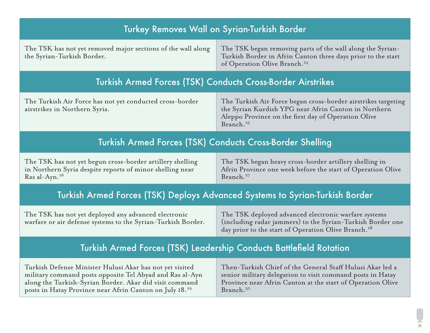| Turkey Removes Wall on Syrian-Turkish Border                                                                                                                                                                                                           |                                                                                                                                                                                                                |  |
|--------------------------------------------------------------------------------------------------------------------------------------------------------------------------------------------------------------------------------------------------------|----------------------------------------------------------------------------------------------------------------------------------------------------------------------------------------------------------------|--|
| The TSK has not yet removed major sections of the wall along<br>the Syrian-Turkish Border.                                                                                                                                                             | The TSK began removing parts of the wall along the Syrian-<br>Turkish Border in Afrin Canton three days prior to the start<br>of Operation Olive Branch. <sup>24</sup>                                         |  |
| <b>Turkish Armed Forces (TSK) Conducts Cross-Border Airstrikes</b>                                                                                                                                                                                     |                                                                                                                                                                                                                |  |
| The Turkish Air Force has not yet conducted cross-border<br>airstrikes in Northern Syria.                                                                                                                                                              | The Turkish Air Force began cross-border airstrikes targeting<br>the Syrian Kurdish YPG near Afrin Canton in Northern<br>Aleppo Province on the first day of Operation Olive<br>Branch. <sup>25</sup>          |  |
| <b>Turkish Armed Forces (TSK) Conducts Cross-Border Shelling</b>                                                                                                                                                                                       |                                                                                                                                                                                                                |  |
| The TSK has not yet begun cross-border artillery shelling<br>in Northern Syria despite reports of minor shelling near<br>Ras al-Ayn. <sup>26</sup>                                                                                                     | The TSK began heavy cross-border artillery shelling in<br>Afrin Province one week before the start of Operation Olive<br>Branch. <sup>27</sup>                                                                 |  |
| Turkish Armed Forces (TSK) Deploys Advanced Systems to Syrian-Turkish Border                                                                                                                                                                           |                                                                                                                                                                                                                |  |
| The TSK has not yet deployed any advanced electronic<br>warfare or air defense systems to the Syrian-Turkish Border.                                                                                                                                   | The TSK deployed advanced electronic warfare systems<br>(including radar jammers) to the Syrian-Turkish Border one<br>day prior to the start of Operation Olive Branch. <sup>28</sup>                          |  |
| Turkish Armed Forces (TSK) Leadership Conducts Battlefield Rotation                                                                                                                                                                                    |                                                                                                                                                                                                                |  |
| Turkish Defense Minister Hulusi Akar has not yet visited<br>military command posts opposite Tel Abyad and Ras al-Ayn<br>along the Turkish-Syrian Border. Akar did visit command<br>posts in Hatay Province near Afrin Canton on July 18. <sup>29</sup> | Then-Turkish Chief of the General Staff Hulusi Akar led a<br>senior military delegation to visit command posts in Hatay<br>Province near Afrin Canton at the start of Operation Olive<br>Branch. <sup>30</sup> |  |